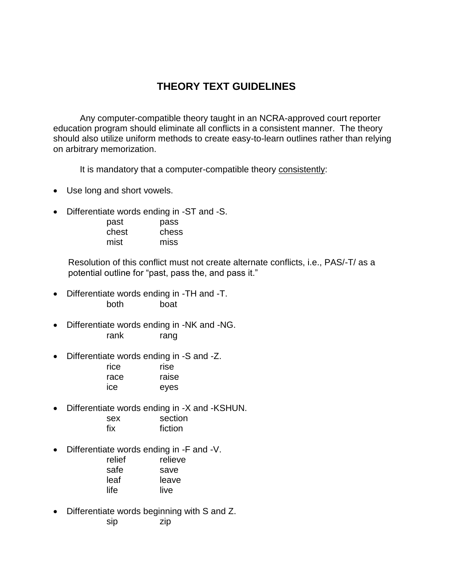## **THEORY TEXT GUIDELINES**

Any computer-compatible theory taught in an NCRA-approved court reporter education program should eliminate all conflicts in a consistent manner. The theory should also utilize uniform methods to create easy-to-learn outlines rather than relying on arbitrary memorization.

It is mandatory that a computer-compatible theory consistently:

- Use long and short vowels.
- Differentiate words ending in -ST and -S.

| past  | pass  |
|-------|-------|
| chest | chess |
| mist  | miss  |

 Resolution of this conflict must not create alternate conflicts, i.e., PAS/-T/ as a potential outline for "past, pass the, and pass it."

- Differentiate words ending in -TH and -T. both boat
- Differentiate words ending in -NK and -NG. rank rang
- Differentiate words ending in -S and -Z.

| rice | rise  |
|------|-------|
| race | raise |
| ісе  | eyes  |

- Differentiate words ending in -X and -KSHUN. sex section fix fiction
- Differentiate words ending in -F and -V.

| relief | relieve |
|--------|---------|
| safe   | save    |
| leaf   | leave   |
| life   | live    |
|        |         |

• Differentiate words beginning with S and Z. sip zip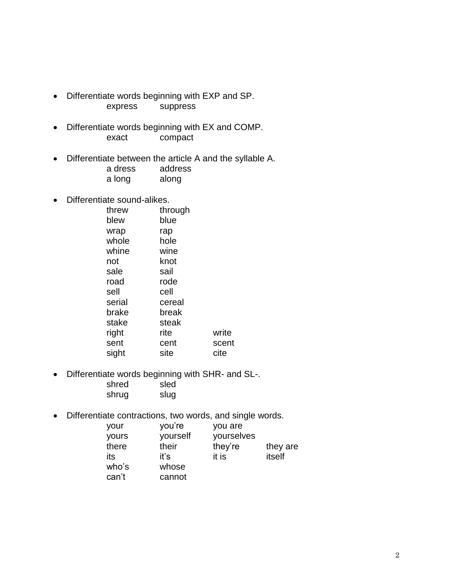- Differentiate words beginning with EXP and SP. express suppress
- Differentiate words beginning with EX and COMP. exact compact
- Differentiate between the article A and the syllable A.
	- a dress address a long along
- Differentiate sound-alikes.

| threw  | through |       |
|--------|---------|-------|
| blew   | blue    |       |
| wrap   | rap     |       |
| whole  | hole    |       |
| whine  | wine    |       |
| not    | knot    |       |
| sale   | sail    |       |
| road   | rode    |       |
| sell   | cell    |       |
| serial | cereal  |       |
| brake  | break   |       |
| stake  | steak   |       |
| right  | rite    | write |
| sent   | cent    | scent |
| sight  | site    | cite  |

- Differentiate words beginning with SHR- and SL-. shred sled shrug slug
- Differentiate contractions, two words, and single words.

| you're | you are  |            |
|--------|----------|------------|
| their  | they're  | they are   |
| iťs    | it is    | itself     |
| whose  |          |            |
| cannot |          |            |
|        | yourself | yourselves |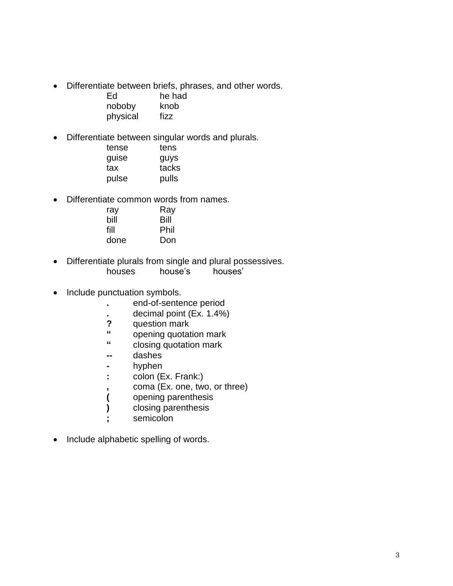• Differentiate between briefs, phrases, and other words.

| Ed       | he had |
|----------|--------|
| noboby   | knob   |
| physical | fizz   |

• Differentiate between singular words and plurals.

| tense | tens  |
|-------|-------|
| guise | guys  |
| tax   | tacks |
| pulse | pulls |

• Differentiate common words from names.

| ray  | Ray  |
|------|------|
| bill | Bill |
| fill | Phil |
| done | Don  |

- Differentiate plurals from single and plural possessives. houses house's houses'
- Include punctuation symbols.
	- **.** end-of-sentence period
	- **.** decimal point (Ex. 1.4%)
	- **?** question mark
	- **"** opening quotation mark
	- **"** closing quotation mark
	- **--** dashes
	- **-** hyphen
	- **:** colon (Ex. Frank:)
	- **,** coma (Ex. one, two, or three)
	- **(** opening parenthesis
	- **)** closing parenthesis
	- **;** semicolon
- Include alphabetic spelling of words.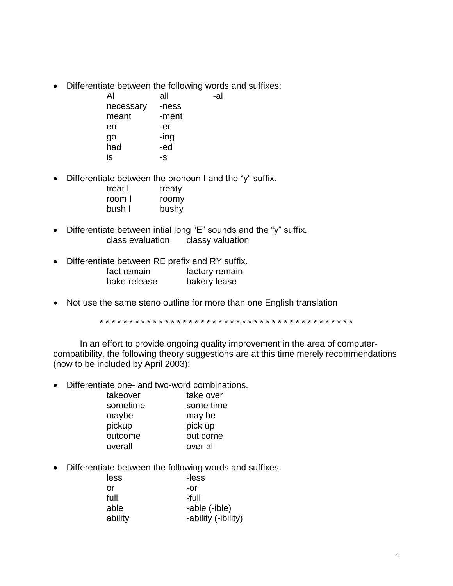• Differentiate between the following words and suffixes:

| Al        | all   | -al |
|-----------|-------|-----|
| necessary | -ness |     |
| meant     | -ment |     |
| err       | -er   |     |
| go        | -ing  |     |
| had       | -ed   |     |
| is        | -S    |     |

• Differentiate between the pronoun I and the "y" suffix.

| treat I | treaty |
|---------|--------|
| room I  | roomy  |
| bush I  | bushy  |

- Differentiate between intial long "E" sounds and the "y" suffix. class evaluation classy valuation
- Differentiate between RE prefix and RY suffix.

| fact remain  | factory remain |
|--------------|----------------|
| bake release | bakery lease   |

• Not use the same steno outline for more than one English translation

\* \* \* \* \* \* \* \* \* \* \* \* \* \* \* \* \* \* \* \* \* \* \* \* \* \* \* \* \* \* \* \* \* \* \* \* \* \* \* \* \* \* \*

In an effort to provide ongoing quality improvement in the area of computercompatibility, the following theory suggestions are at this time merely recommendations (now to be included by April 2003):

• Differentiate one- and two-word combinations.

| takeover | take over |
|----------|-----------|
| sometime | some time |
| maybe    | may be    |
| pickup   | pick up   |
| outcome  | out come  |
| overall  | over all  |
|          |           |

• Differentiate between the following words and suffixes.

| less    | -less               |
|---------|---------------------|
| or      | -or                 |
| full    | -full               |
| able    | -able (-ible)       |
| ability | -ability (-ibility) |